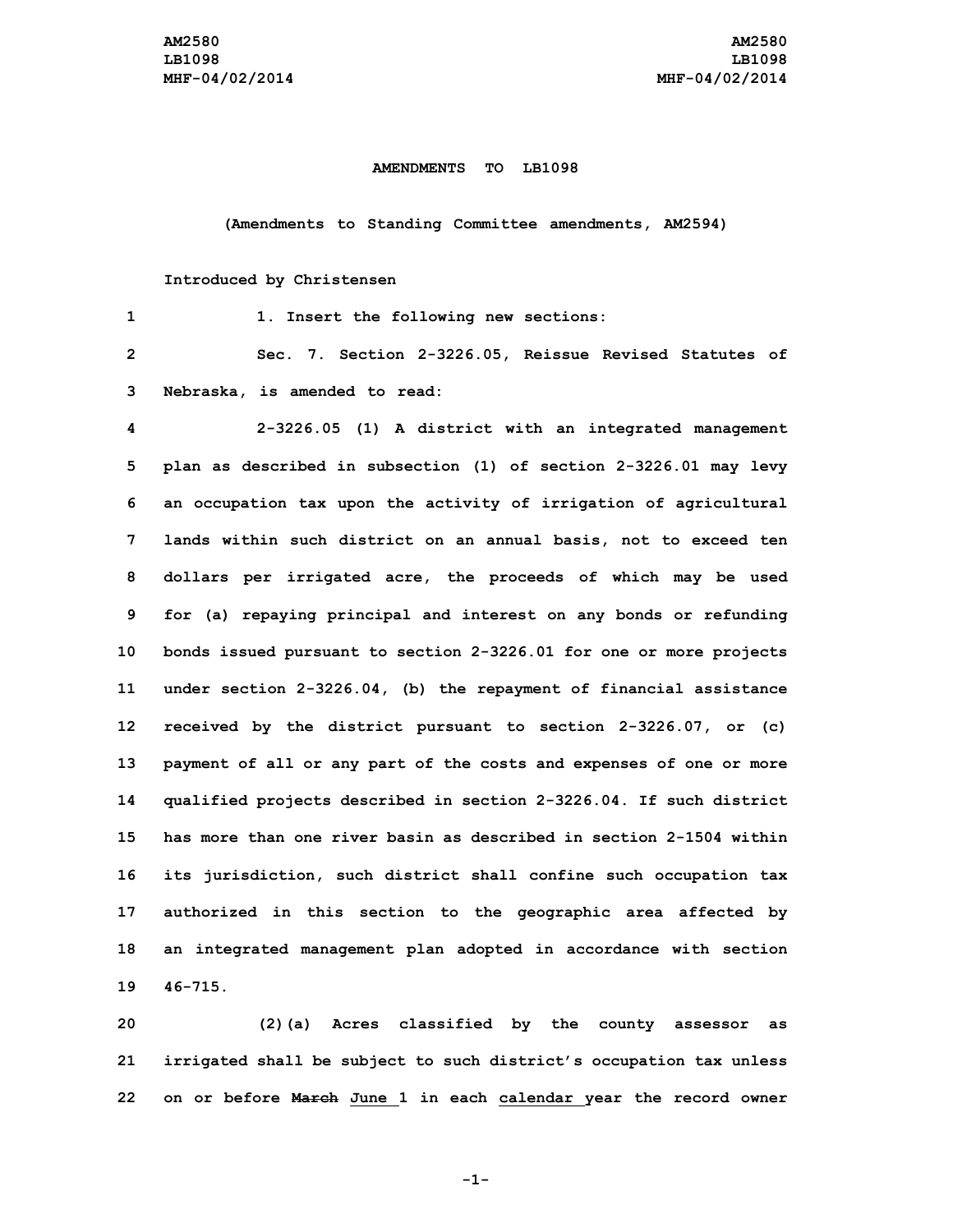## **AMENDMENTS TO LB1098**

**(Amendments to Standing Committee amendments, AM2594)**

## **Introduced by Christensen**

| $\mathbf 1$             | 1. Insert the following new sections:                               |
|-------------------------|---------------------------------------------------------------------|
| $\overline{\mathbf{c}}$ | Sec. 7. Section 2-3226.05, Reissue Revised Statutes of              |
| 3                       | Nebraska, is amended to read:                                       |
| 4                       | 2-3226.05 (1) A district with an integrated management              |
| 5                       | plan as described in subsection (1) of section 2-3226.01 may levy   |
| 6                       | an occupation tax upon the activity of irrigation of agricultural   |
| 7                       | lands within such district on an annual basis, not to exceed ten    |
| 8                       | dollars per irrigated acre, the proceeds of which may be used       |
| 9                       | for (a) repaying principal and interest on any bonds or refunding   |
| 10                      | bonds issued pursuant to section 2-3226.01 for one or more projects |
| 11                      | under section 2-3226.04, (b) the repayment of financial assistance  |
| 12 <sub>2</sub>         | received by the district pursuant to section 2-3226.07, or (c)      |
| 13                      | payment of all or any part of the costs and expenses of one or more |
| 14                      | qualified projects described in section 2-3226.04. If such district |
| 15                      | has more than one river basin as described in section 2-1504 within |
| 16                      | its jurisdiction, such district shall confine such occupation tax   |
| 17                      | authorized in this section to the geographic area affected by       |
| 18                      | an integrated management plan adopted in accordance with section    |
| 19                      | $46 - 715.$                                                         |

**20 (2)(a) Acres classified by the county assessor as 21 irrigated shall be subject to such district's occupation tax unless 22 on or before March June 1 in each calendar year the record owner**

**-1-**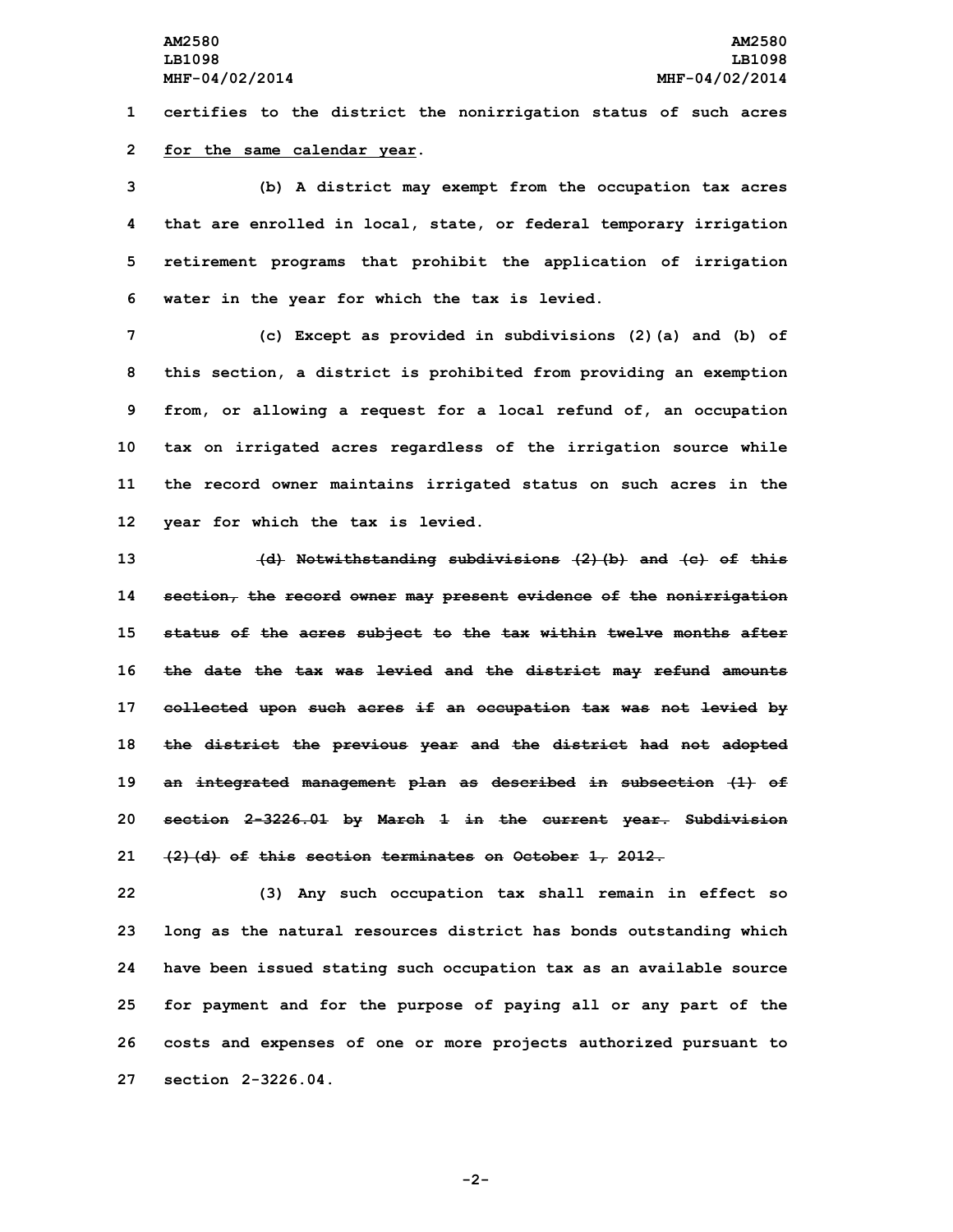**1 certifies to the district the nonirrigation status of such acres**

## **2 for the same calendar year.**

 **(b) <sup>A</sup> district may exempt from the occupation tax acres that are enrolled in local, state, or federal temporary irrigation retirement programs that prohibit the application of irrigation water in the year for which the tax is levied.**

 **(c) Except as provided in subdivisions (2)(a) and (b) of this section, <sup>a</sup> district is prohibited from providing an exemption from, or allowing <sup>a</sup> request for <sup>a</sup> local refund of, an occupation tax on irrigated acres regardless of the irrigation source while the record owner maintains irrigated status on such acres in the year for which the tax is levied.**

 **(d) Notwithstanding subdivisions (2)(b) and (c) of this section, the record owner may present evidence of the nonirrigation status of the acres subject to the tax within twelve months after the date the tax was levied and the district may refund amounts collected upon such acres if an occupation tax was not levied by the district the previous year and the district had not adopted an integrated management plan as described in subsection (1) of section 2-3226.01 by March 1 in the current year. Subdivision (2)(d) of this section terminates on October 1, 2012.**

 **(3) Any such occupation tax shall remain in effect so long as the natural resources district has bonds outstanding which have been issued stating such occupation tax as an available source for payment and for the purpose of paying all or any part of the costs and expenses of one or more projects authorized pursuant to section 2-3226.04.**

**-2-**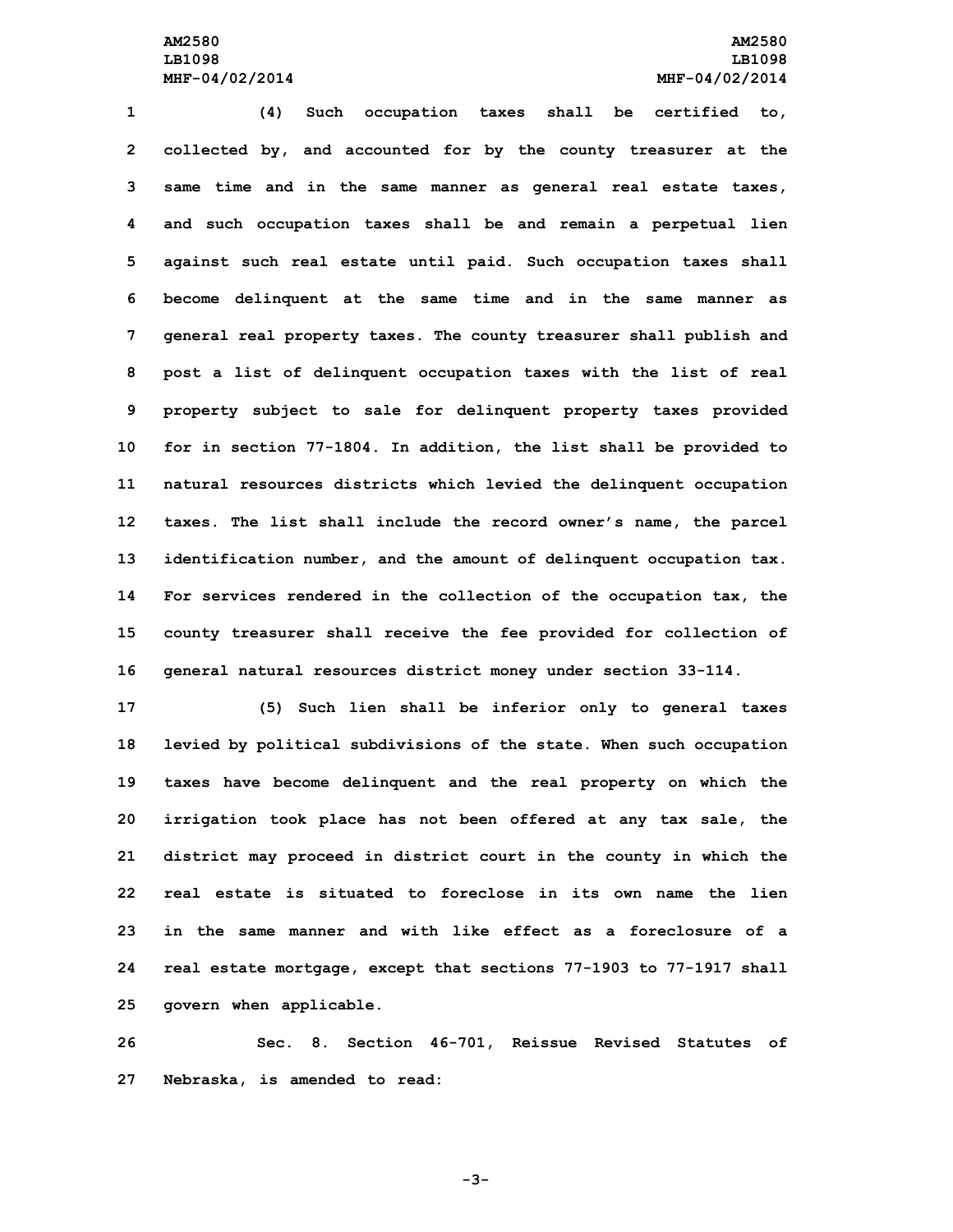**(4) Such occupation taxes shall be certified to, collected by, and accounted for by the county treasurer at the same time and in the same manner as general real estate taxes, and such occupation taxes shall be and remain <sup>a</sup> perpetual lien against such real estate until paid. Such occupation taxes shall become delinquent at the same time and in the same manner as general real property taxes. The county treasurer shall publish and post <sup>a</sup> list of delinquent occupation taxes with the list of real property subject to sale for delinquent property taxes provided for in section 77-1804. In addition, the list shall be provided to natural resources districts which levied the delinquent occupation taxes. The list shall include the record owner's name, the parcel identification number, and the amount of delinquent occupation tax. For services rendered in the collection of the occupation tax, the county treasurer shall receive the fee provided for collection of general natural resources district money under section 33-114.**

 **(5) Such lien shall be inferior only to general taxes levied by political subdivisions of the state. When such occupation taxes have become delinquent and the real property on which the irrigation took place has not been offered at any tax sale, the district may proceed in district court in the county in which the real estate is situated to foreclose in its own name the lien in the same manner and with like effect as a foreclosure of a real estate mortgage, except that sections 77-1903 to 77-1917 shall govern when applicable.**

**26 Sec. 8. Section 46-701, Reissue Revised Statutes of 27 Nebraska, is amended to read:**

**-3-**